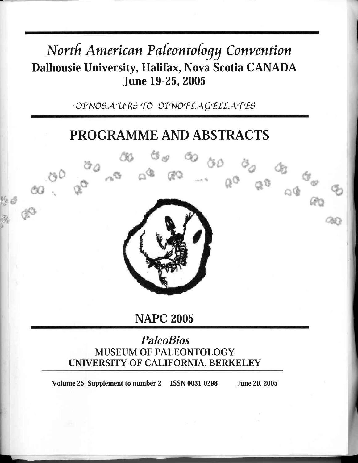# North American Paleontology Convention Dalhousie University, Halifax, Nova Scotia CANADA **June 19-25, 2005**

DINOSAURS TO DINOFLAGELLATES

## **PROGRAMME AND ABSTRACTS**



**NAPC 2005** 

### **PaleoBios MUSEUM OF PALEONTOLOGY** UNIVERSITY OF CALIFORNIA, BERKELEY

Volume 25, Supplement to number 2 ISSN 0031-0298 **June 20, 2005**